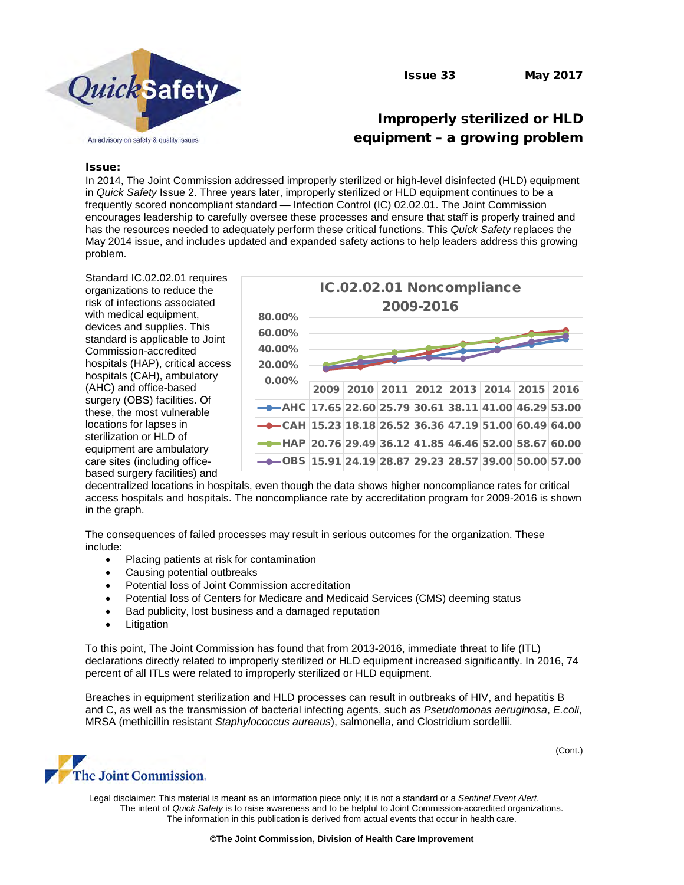

# Improperly sterilized or HLD equipment – a growing problem

#### Issue:

In 2014, The Joint Commission addressed improperly sterilized or high-level disinfected (HLD) equipment in *Quick Safety* Issue 2. Three years later, improperly sterilized or HLD equipment continues to be a frequently scored noncompliant standard — Infection Control (IC) 02.02.01. The Joint Commission encourages leadership to carefully oversee these processes and ensure that staff is properly trained and has the resources needed to adequately perform these critical functions. This *Quick Safety* replaces the May 2014 issue, and includes updated and expanded safety actions to help leaders address this growing problem.

Standard IC.02.02.01 requires organizations to reduce the risk of infections associated with medical equipment, devices and supplies. This standard is applicable to Joint Commission-accredited hospitals (HAP), critical access hospitals (CAH), ambulatory (AHC) and office-based surgery (OBS) facilities. Of these, the most vulnerable locations for lapses in sterilization or HLD of equipment are ambulatory care sites (including officebased surgery facilities) and



decentralized locations in hospitals, even though the data shows higher noncompliance rates for critical access hospitals and hospitals. The noncompliance rate by accreditation program for 2009-2016 is shown in the graph.

The consequences of failed processes may result in serious outcomes for the organization. These include:

- Placing patients at risk for contamination
- Causing potential outbreaks
- Potential loss of Joint Commission accreditation
- Potential loss of Centers for Medicare and Medicaid Services (CMS) deeming status
- Bad publicity, lost business and a damaged reputation
- **Litigation**

To this point, The Joint Commission has found that from 2013-2016, immediate threat to life (ITL) declarations directly related to improperly sterilized or HLD equipment increased significantly. In 2016, 74 percent of all ITLs were related to improperly sterilized or HLD equipment.

Breaches in equipment sterilization and HLD processes can result in outbreaks of HIV, and hepatitis B and C, as well as the transmission of bacterial infecting agents, such as *Pseudomonas aeruginosa*, *E.coli*, MRSA (methicillin resistant *Staphylococcus aureaus*), salmonella, and Clostridium sordellii.



Legal disclaimer: This material is meant as an information piece only; it is not a standard or a *Sentinel Event Alert*. The intent of *Quick Safety* is to raise awareness and to be helpful to Joint Commission-accredited organizations. The information in this publication is derived from actual events that occur in health care.

(Cont.)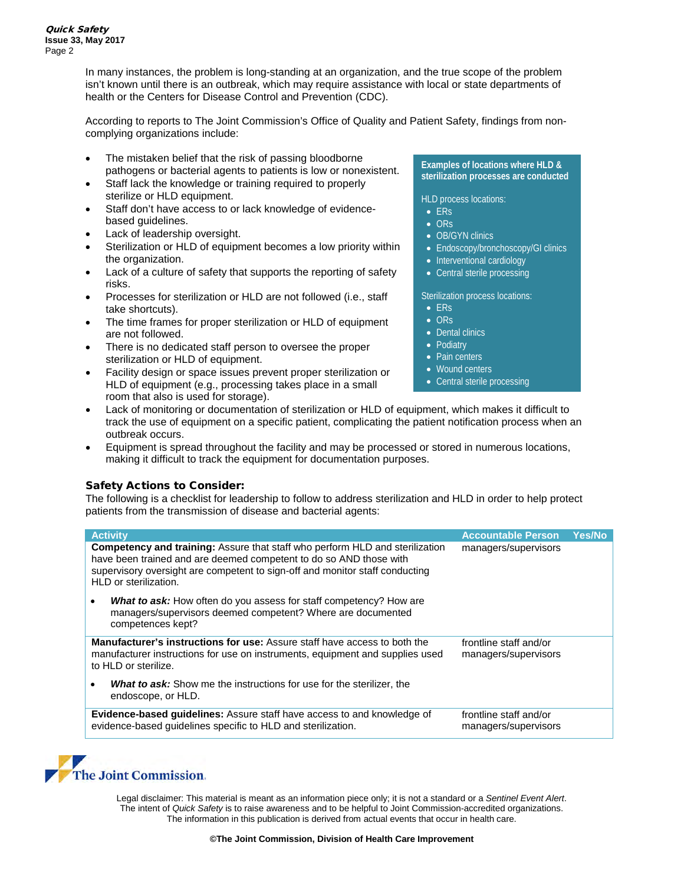In many instances, the problem is long-standing at an organization, and the true scope of the problem isn't known until there is an outbreak, which may require assistance with local or state departments of health or the Centers for Disease Control and Prevention (CDC).

According to reports to The Joint Commission's Office of Quality and Patient Safety, findings from noncomplying organizations include:

- The mistaken belief that the risk of passing bloodborne pathogens or bacterial agents to patients is low or nonexistent.
- Staff lack the knowledge or training required to properly sterilize or HLD equipment.
- Staff don't have access to or lack knowledge of evidencebased guidelines.
- Lack of leadership oversight.
- Sterilization or HLD of equipment becomes a low priority within the organization.
- Lack of a culture of safety that supports the reporting of safety risks.
- Processes for sterilization or HLD are not followed (i.e., staff take shortcuts).
- The time frames for proper sterilization or HLD of equipment are not followed.
- There is no dedicated staff person to oversee the proper sterilization or HLD of equipment.
- Facility design or space issues prevent proper sterilization or HLD of equipment (e.g., processing takes place in a small room that also is used for storage).

#### **Examples of locations where HLD & sterilization processes are conducted**

HLD process locations:

- ERs
- ORs
- OB/GYN clinics
- Endoscopy/bronchoscopy/GI clinics
- Interventional cardiology
- Central sterile processing

Sterilization process locations:

- ERs
- ORs
- Dental clinics
- Podiatry
- Pain centers
- Wound centers
- Central sterile processing
- Lack of monitoring or documentation of sterilization or HLD of equipment, which makes it difficult to track the use of equipment on a specific patient, complicating the patient notification process when an outbreak occurs.
- Equipment is spread throughout the facility and may be processed or stored in numerous locations, making it difficult to track the equipment for documentation purposes.

## Safety Actions to Consider:

The following is a checklist for leadership to follow to address sterilization and HLD in order to help protect patients from the transmission of disease and bacterial agents:

| <b>Activity</b>                                                                                                                                                                                                                                                    | <b>Accountable Person</b>                      | <b>Yes/No</b> |
|--------------------------------------------------------------------------------------------------------------------------------------------------------------------------------------------------------------------------------------------------------------------|------------------------------------------------|---------------|
| <b>Competency and training:</b> Assure that staff who perform HLD and sterilization<br>have been trained and are deemed competent to do so AND those with<br>supervisory oversight are competent to sign-off and monitor staff conducting<br>HLD or sterilization. | managers/supervisors                           |               |
| <b>What to ask:</b> How often do you assess for staff competency? How are<br>٠<br>managers/supervisors deemed competent? Where are documented<br>competences kept?                                                                                                 |                                                |               |
| <b>Manufacturer's instructions for use:</b> Assure staff have access to both the<br>manufacturer instructions for use on instruments, equipment and supplies used<br>to HLD or sterilize.                                                                          | frontline staff and/or<br>managers/supervisors |               |
| <b>What to ask:</b> Show me the instructions for use for the sterilizer, the<br>٠<br>endoscope, or HLD.                                                                                                                                                            |                                                |               |
| <b>Evidence-based guidelines:</b> Assure staff have access to and knowledge of<br>evidence-based quidelines specific to HLD and sterilization.                                                                                                                     | frontline staff and/or<br>managers/supervisors |               |



Legal disclaimer: This material is meant as an information piece only; it is not a standard or a *Sentinel Event Alert*. The intent of *Quick Safety* is to raise awareness and to be helpful to Joint Commission-accredited organizations. The information in this publication is derived from actual events that occur in health care.